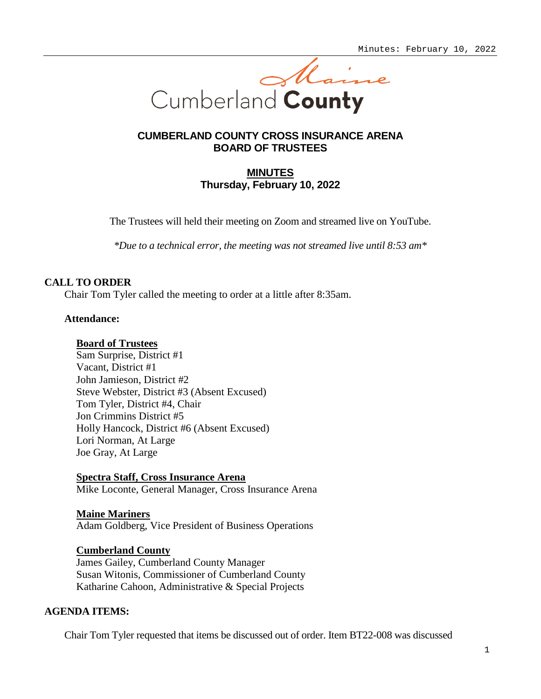

## **CUMBERLAND COUNTY CROSS INSURANCE ARENA BOARD OF TRUSTEES**

# **MINUTES Thursday, February 10, 2022**

The Trustees will held their meeting on Zoom and streamed live on YouTube.

*\*Due to a technical error, the meeting was not streamed live until 8:53 am\**

## **CALL TO ORDER**

Chair Tom Tyler called the meeting to order at a little after 8:35am.

### **Attendance:**

### **Board of Trustees**

Sam Surprise, District #1 Vacant, District #1 John Jamieson, District #2 Steve Webster, District #3 (Absent Excused) Tom Tyler, District #4, Chair Jon Crimmins District #5 Holly Hancock, District #6 (Absent Excused) Lori Norman, At Large Joe Gray, At Large

### **Spectra Staff, Cross Insurance Arena**

Mike Loconte, General Manager, Cross Insurance Arena

**Maine Mariners** Adam Goldberg, Vice President of Business Operations

## **Cumberland County**

James Gailey, Cumberland County Manager Susan Witonis, Commissioner of Cumberland County Katharine Cahoon, Administrative & Special Projects

## **AGENDA ITEMS:**

Chair Tom Tyler requested that items be discussed out of order. Item BT22-008 was discussed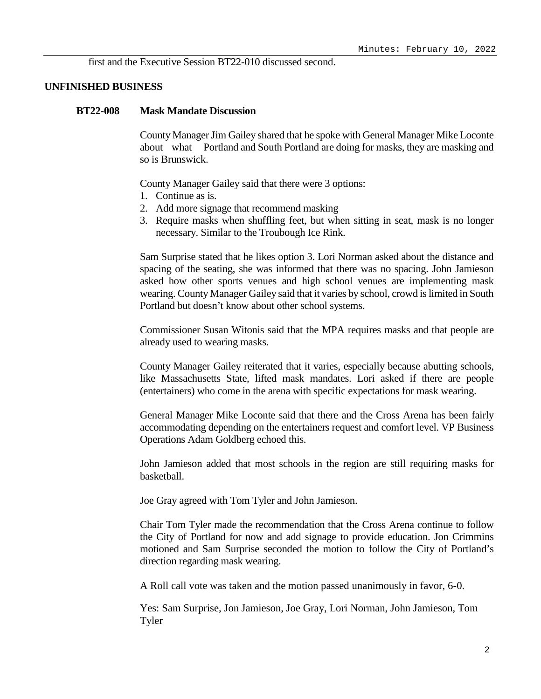first and the Executive Session BT22-010 discussed second.

#### **UNFINISHED BUSINESS**

#### **BT22-008 Mask Mandate Discussion**

County Manager Jim Gailey shared that he spoke with General Manager Mike Loconte about what Portland and South Portland are doing for masks, they are masking and so is Brunswick.

County Manager Gailey said that there were 3 options:

- 1. Continue as is.
- 2. Add more signage that recommend masking
- 3. Require masks when shuffling feet, but when sitting in seat, mask is no longer necessary. Similar to the Troubough Ice Rink.

Sam Surprise stated that he likes option 3. Lori Norman asked about the distance and spacing of the seating, she was informed that there was no spacing. John Jamieson asked how other sports venues and high school venues are implementing mask wearing. County Manager Gailey said that it varies by school, crowd is limited in South Portland but doesn't know about other school systems.

Commissioner Susan Witonis said that the MPA requires masks and that people are already used to wearing masks.

County Manager Gailey reiterated that it varies, especially because abutting schools, like Massachusetts State, lifted mask mandates. Lori asked if there are people (entertainers) who come in the arena with specific expectations for mask wearing.

General Manager Mike Loconte said that there and the Cross Arena has been fairly accommodating depending on the entertainers request and comfort level. VP Business Operations Adam Goldberg echoed this.

John Jamieson added that most schools in the region are still requiring masks for basketball.

Joe Gray agreed with Tom Tyler and John Jamieson.

Chair Tom Tyler made the recommendation that the Cross Arena continue to follow the City of Portland for now and add signage to provide education. Jon Crimmins motioned and Sam Surprise seconded the motion to follow the City of Portland's direction regarding mask wearing.

A Roll call vote was taken and the motion passed unanimously in favor, 6-0.

Yes: Sam Surprise, Jon Jamieson, Joe Gray, Lori Norman, John Jamieson, Tom Tyler